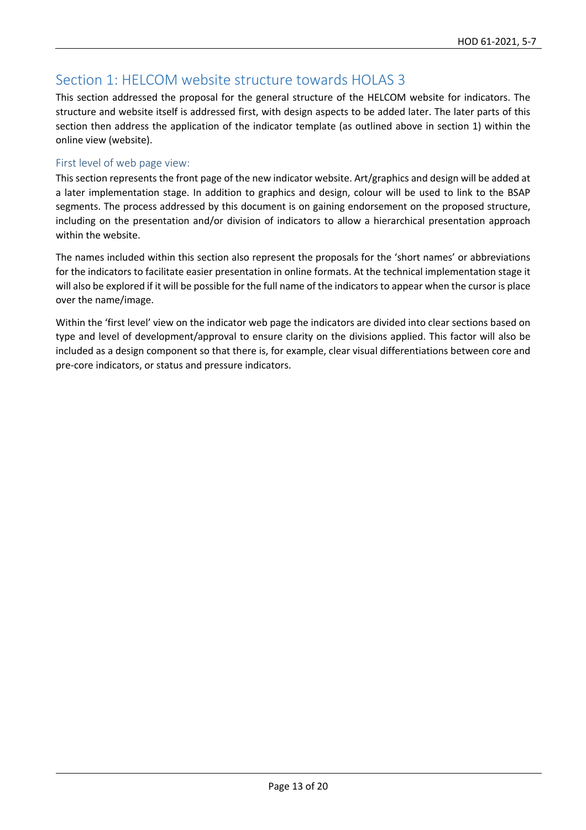# Section 1: HELCOM website structure towards HOLAS 3

This section addressed the proposal for the general structure of the HELCOM website for indicators. The structure and website itself is addressed first, with design aspects to be added later. The later parts of this section then address the application of the indicator template (as outlined above in section 1) within the online view (website).

### First level of web page view:

This section represents the front page of the new indicator website. Art/graphics and design will be added at a later implementation stage. In addition to graphics and design, colour will be used to link to the BSAP segments. The process addressed by this document is on gaining endorsement on the proposed structure, including on the presentation and/or division of indicators to allow a hierarchical presentation approach within the website.

The names included within this section also represent the proposals for the 'short names' or abbreviations for the indicators to facilitate easier presentation in online formats. At the technical implementation stage it will also be explored if it will be possible for the full name of the indicators to appear when the cursor is place over the name/image.

Within the 'first level' view on the indicator web page the indicators are divided into clear sections based on type and level of development/approval to ensure clarity on the divisions applied. This factor will also be included as a design component so that there is, for example, clear visual differentiations between core and pre-core indicators, or status and pressure indicators.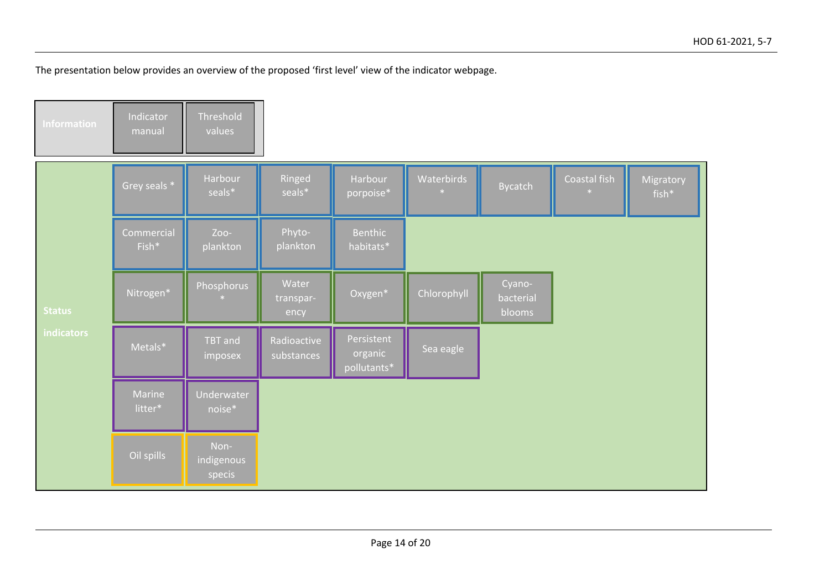The presentation below provides an overview of the proposed 'first level' view of the indicator webpage.

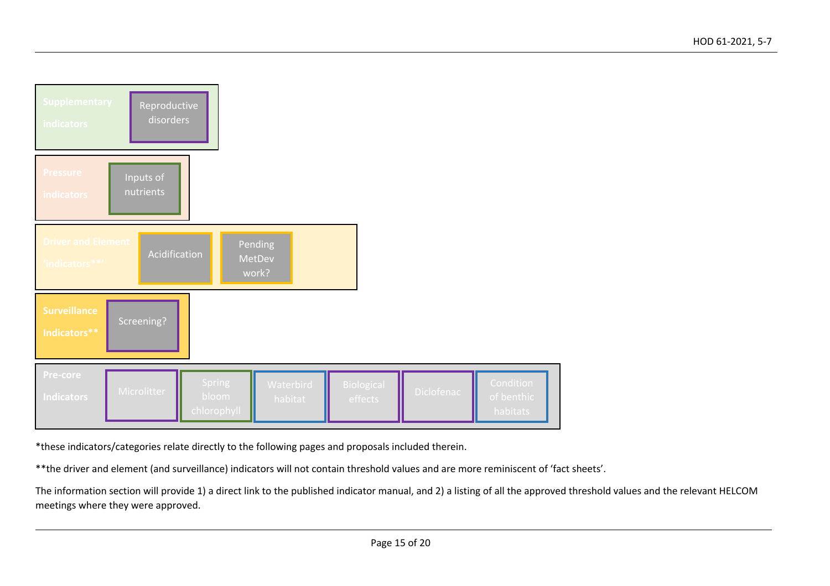| <b>Supplementary</b><br><b>indicators</b>                                                   | Reproductive<br>disorders |                                       |                      |                       |            |                                            |  |
|---------------------------------------------------------------------------------------------|---------------------------|---------------------------------------|----------------------|-----------------------|------------|--------------------------------------------|--|
| <b>Pressure</b><br><b>indicators</b>                                                        | Inputs of<br>nutrients    |                                       |                      |                       |            |                                            |  |
| <b>Driver and Element</b><br>Pending<br>Acidification<br>MetDev<br>'indicators **'<br>work? |                           |                                       |                      |                       |            |                                            |  |
| <b>Surveillance</b><br>Indicators**                                                         | Screening?                |                                       |                      |                       |            |                                            |  |
| Pre-core<br><b>Indicators</b>                                                               | <b>Microlitter</b>        | <b>Spring</b><br>bloom<br>chlorophyll | Waterbird<br>habitat | Biological<br>effects | Diclofenac | <b>Condition</b><br>of benthic<br>habitats |  |

\*these indicators/categories relate directly to the following pages and proposals included therein.

\*\*the driver and element (and surveillance) indicators will not contain threshold values and are more reminiscent of 'fact sheets'.

The information section will provide 1) a direct link to the published indicator manual, and 2) a listing of all the approved threshold values and the relevant HELCOM meetings where they were approved.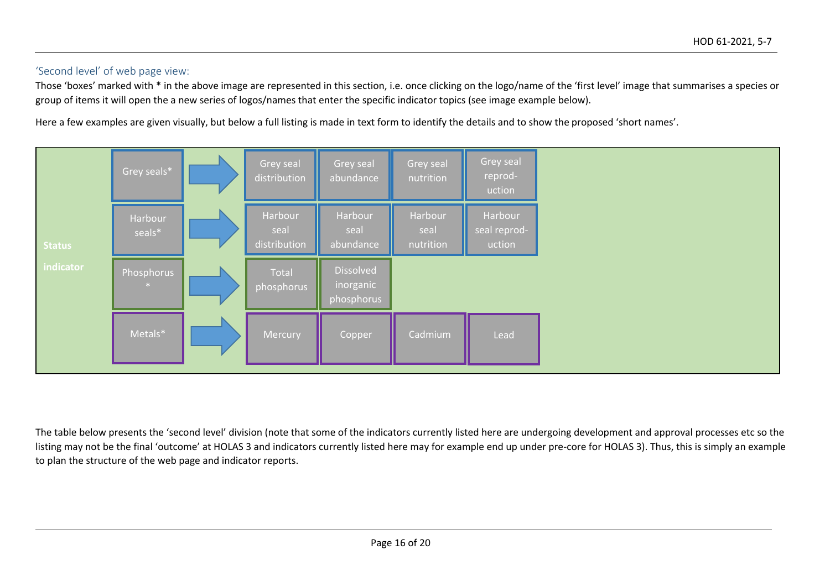#### 'Second level' of web page view:

Those 'boxes' marked with \* in the above image are represented in this section, i.e. once clicking on the logo/name of the 'first level' image that summarises a species or group of items it will open the a new series of logos/names that enter the specific indicator topics (see image example below).

Here a few examples are given visually, but below a full listing is made in text form to identify the details and to show the proposed 'short names'.



The table below presents the 'second level' division (note that some of the indicators currently listed here are undergoing development and approval processes etc so the listing may not be the final 'outcome' at HOLAS 3 and indicators currently listed here may for example end up under pre-core for HOLAS 3). Thus, this is simply an example to plan the structure of the web page and indicator reports.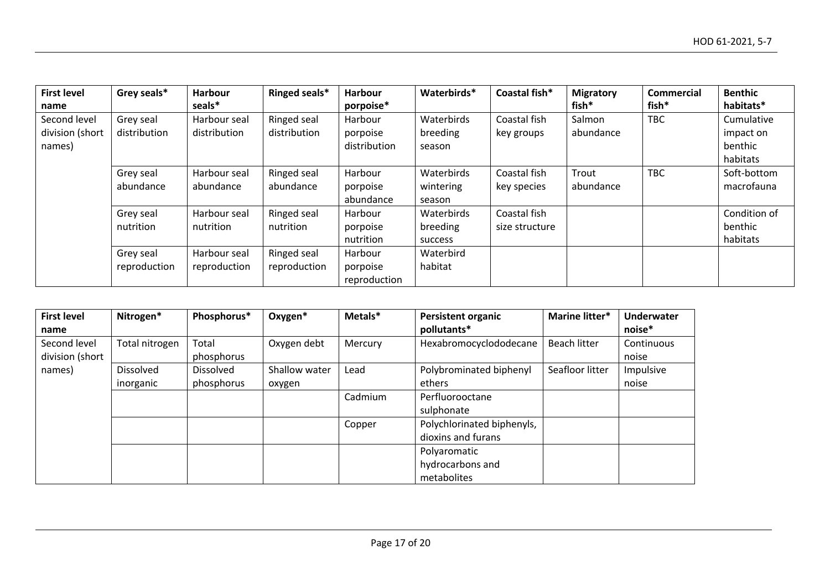| <b>First level</b><br>name                | Grey seals*               | Harbour<br>seals*            | Ringed seals*               | Harbour<br>porpoise*                | Waterbirds*                       | Coastal fish*                  | <b>Migratory</b><br>fish* | <b>Commercial</b><br>fish* | <b>Benthic</b><br>habitats*                    |
|-------------------------------------------|---------------------------|------------------------------|-----------------------------|-------------------------------------|-----------------------------------|--------------------------------|---------------------------|----------------------------|------------------------------------------------|
| Second level<br>division (short<br>names) | Grey seal<br>distribution | Harbour seal<br>distribution | Ringed seal<br>distribution | Harbour<br>porpoise<br>distribution | Waterbirds<br>breeding<br>season  | Coastal fish<br>key groups     | Salmon<br>abundance       | <b>TBC</b>                 | Cumulative<br>impact on<br>benthic<br>habitats |
|                                           | Grey seal<br>abundance    | Harbour seal<br>abundance    | Ringed seal<br>abundance    | Harbour<br>porpoise<br>abundance    | Waterbirds<br>wintering<br>season | Coastal fish<br>key species    | Trout<br>abundance        | <b>TBC</b>                 | Soft-bottom<br>macrofauna                      |
|                                           | Grey seal<br>nutrition    | Harbour seal<br>nutrition    | Ringed seal<br>nutrition    | Harbour<br>porpoise<br>nutrition    | Waterbirds<br>breeding<br>success | Coastal fish<br>size structure |                           |                            | Condition of<br>benthic<br>habitats            |
|                                           | Grey seal<br>reproduction | Harbour seal<br>reproduction | Ringed seal<br>reproduction | Harbour<br>porpoise<br>reproduction | Waterbird<br>habitat              |                                |                           |                            |                                                |

| <b>First level</b> | Nitrogen*        | Phosphorus* | Oxygen*       | Metals* | <b>Persistent organic</b>  | Marine litter*      | <b>Underwater</b> |
|--------------------|------------------|-------------|---------------|---------|----------------------------|---------------------|-------------------|
| name               |                  |             |               |         | pollutants*                |                     | noise*            |
| Second level       | Total nitrogen   | Total       | Oxygen debt   | Mercury | Hexabromocyclododecane     | <b>Beach litter</b> | Continuous        |
| division (short    |                  | phosphorus  |               |         |                            |                     | noise             |
| names)             | <b>Dissolved</b> | Dissolved   | Shallow water | Lead    | Polybrominated biphenyl    | Seafloor litter     | Impulsive         |
|                    | inorganic        | phosphorus  | oxygen        |         | ethers                     |                     | noise             |
|                    |                  |             |               | Cadmium | Perfluorooctane            |                     |                   |
|                    |                  |             |               |         | sulphonate                 |                     |                   |
|                    |                  |             |               | Copper  | Polychlorinated biphenyls, |                     |                   |
|                    |                  |             |               |         | dioxins and furans         |                     |                   |
|                    |                  |             |               |         | Polyaromatic               |                     |                   |
|                    |                  |             |               |         | hydrocarbons and           |                     |                   |
|                    |                  |             |               |         | metabolites                |                     |                   |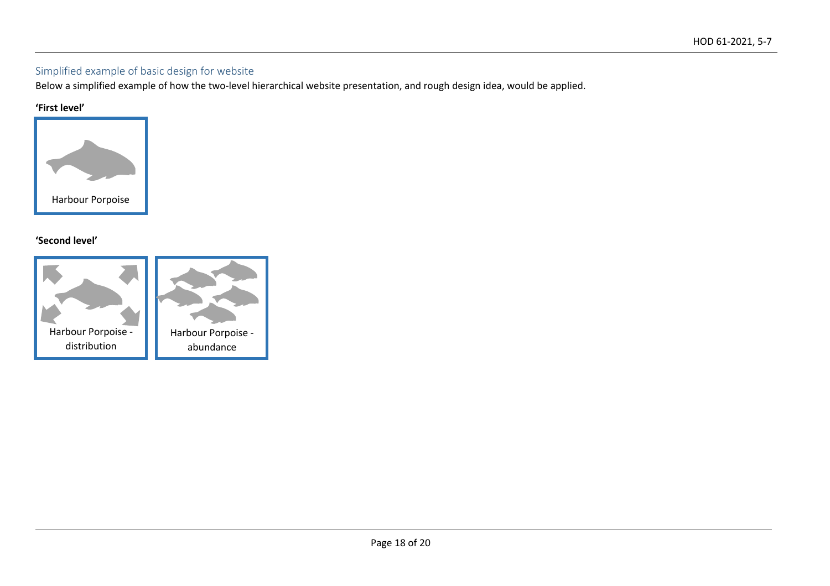## Simplified example of basic design for website

Below a simplified example of how the two-level hierarchical website presentation, and rough design idea, would be applied.

#### **'First level'**



## **'Second level'**

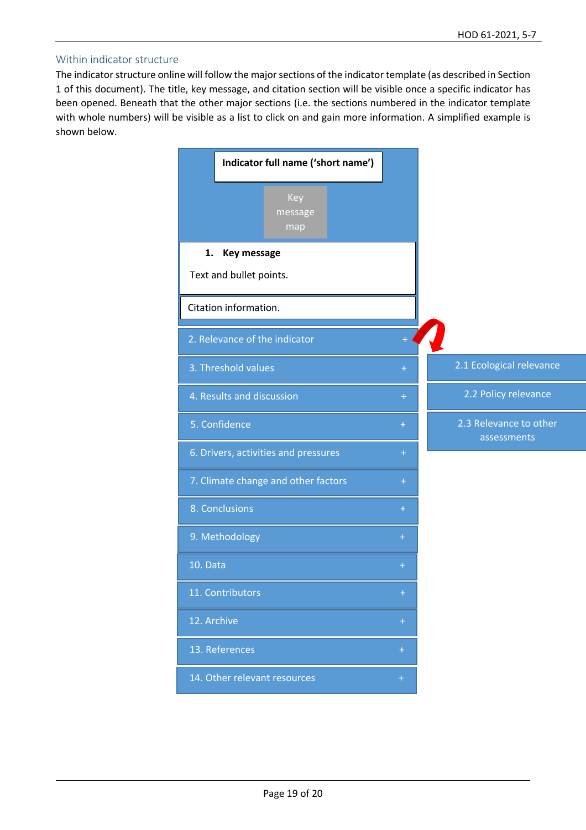#### Within indicator structure

The indicator structure online will follow the major sections of the indicator template (as described in Section 1 of this document). The title, key message, and citation section will be visible once a specific indicator has been opened. Beneath that the other major sections (i.e. the sections numbered in the indicator template with whole numbers) will be visible as a list to click on and gain more information. A simplified example is shown below.